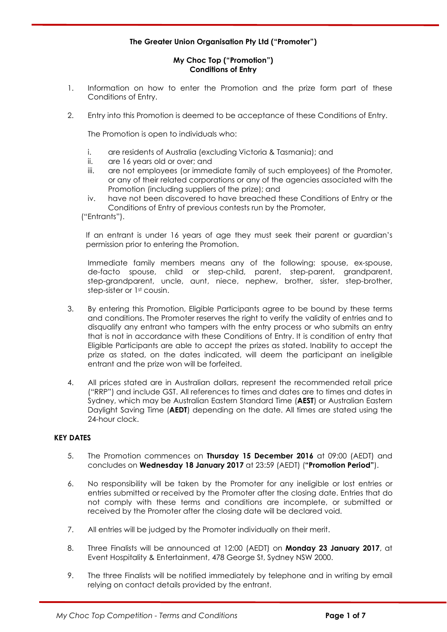# **The Greater Union Organisation Pty Ltd ("Promoter")**

## **My Choc Top ("Promotion") Conditions of Entry**

- 1. Information on how to enter the Promotion and the prize form part of these Conditions of Entry.
- 2. Entry into this Promotion is deemed to be acceptance of these Conditions of Entry.

The Promotion is open to individuals who:

- i. are residents of Australia (excluding Victoria & Tasmania); and
- ii. are 16 years old or over; and
- iii. are not employees (or immediate family of such employees) of the Promoter, or any of their related corporations or any of the agencies associated with the Promotion (including suppliers of the prize); and
- iv. have not been discovered to have breached these Conditions of Entry or the Conditions of Entry of previous contests run by the Promoter,

("Entrants").

If an entrant is under 16 years of age they must seek their parent or guardian's permission prior to entering the Promotion.

Immediate family members means any of the following: spouse, ex-spouse, de-facto spouse, child or step-child, parent, step-parent, grandparent, step-grandparent, uncle, aunt, niece, nephew, brother, sister, step-brother, step-sister or 1st cousin.

- 3. By entering this Promotion, Eligible Participants agree to be bound by these terms and conditions. The Promoter reserves the right to verify the validity of entries and to disqualify any entrant who tampers with the entry process or who submits an entry that is not in accordance with these Conditions of Entry. It is condition of entry that Eligible Participants are able to accept the prizes as stated. Inability to accept the prize as stated, on the dates indicated, will deem the participant an ineligible entrant and the prize won will be forfeited.
- 4. All prices stated are in Australian dollars, represent the recommended retail price ("RRP") and include GST. All references to times and dates are to times and dates in Sydney, which may be Australian Eastern Standard Time (**AEST**) or Australian Eastern Daylight Saving Time (**AEDT**) depending on the date. All times are stated using the 24-hour clock.

# **KEY DATES**

- 5. The Promotion commences on **Thursday 15 December 2016** at 09:00 (AEDT) and concludes on **Wednesday 18 January 2017** at 23:59 (AEDT) (**"Promotion Period"**).
- 6. No responsibility will be taken by the Promoter for any ineligible or lost entries or entries submitted or received by the Promoter after the closing date. Entries that do not comply with these terms and conditions are incomplete, or submitted or received by the Promoter after the closing date will be declared void.
- 7. All entries will be judged by the Promoter individually on their merit.
- 8. Three Finalists will be announced at 12:00 (AEDT) on **Monday 23 January 2017**, at Event Hospitality & Entertainment, 478 George St, Sydney NSW 2000.
- 9. The three Finalists will be notified immediately by telephone and in writing by email relying on contact details provided by the entrant.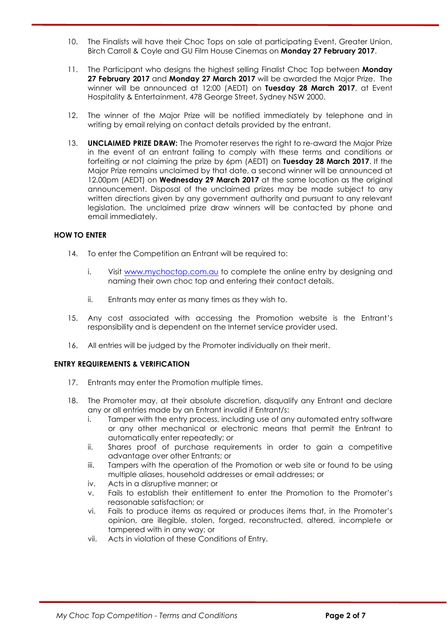- 10. The Finalists will have their Choc Tops on sale at participating Event, Greater Union, Birch Carroll & Coyle and GU Film House Cinemas on **Monday 27 February 2017**.
- 11. The Participant who designs the highest selling Finalist Choc Top between **Monday 27 February 2017** and **Monday 27 March 2017** will be awarded the Major Prize. The winner will be announced at 12:00 (AEDT) on **Tuesday 28 March 2017**, at Event Hospitality & Entertainment, 478 George Street, Sydney NSW 2000.
- 12. The winner of the Major Prize will be notified immediately by telephone and in writing by email relying on contact details provided by the entrant.
- 13. **UNCLAIMED PRIZE DRAW:** The Promoter reserves the right to re-award the Major Prize in the event of an entrant failing to comply with these terms and conditions or forfeiting or not claiming the prize by 6pm (AEDT) on **Tuesday 28 March 2017**. If the Major Prize remains unclaimed by that date, a second winner will be announced at 12.00pm (AEDT) on **Wednesday 29 March 2017** at the same location as the original announcement. Disposal of the unclaimed prizes may be made subject to any written directions given by any government authority and pursuant to any relevant legislation. The unclaimed prize draw winners will be contacted by phone and email immediately.

## **HOW TO ENTER**

- 14. To enter the Competition an Entrant will be required to:
	- i. Visit www.mychoctop.com.au to complete the online entry by designing and naming their own choc top and entering their contact details.
	- ii. Entrants may enter as many times as they wish to.
- 15. Any cost associated with accessing the Promotion website is the Entrant's responsibility and is dependent on the Internet service provider used.
- 16. All entries will be judged by the Promoter individually on their merit.

## **ENTRY REQUIREMENTS & VERIFICATION**

- 17. Entrants may enter the Promotion multiple times.
- 18. The Promoter may, at their absolute discretion, disqualify any Entrant and declare any or all entries made by an Entrant invalid if Entrant/s:
	- i. Tamper with the entry process, including use of any automated entry software or any other mechanical or electronic means that permit the Entrant to automatically enter repeatedly; or
	- ii. Shares proof of purchase requirements in order to gain a competitive advantage over other Entrants; or
	- iii. Tampers with the operation of the Promotion or web site or found to be using multiple aliases, household addresses or email addresses; or
	- iv. Acts in a disruptive manner; or
	- v. Fails to establish their entitlement to enter the Promotion to the Promoter's reasonable satisfaction; or
	- vi. Fails to produce items as required or produces items that, in the Promoter's opinion, are illegible, stolen, forged, reconstructed, altered, incomplete or tampered with in any way; or
	- vii. Acts in violation of these Conditions of Entry.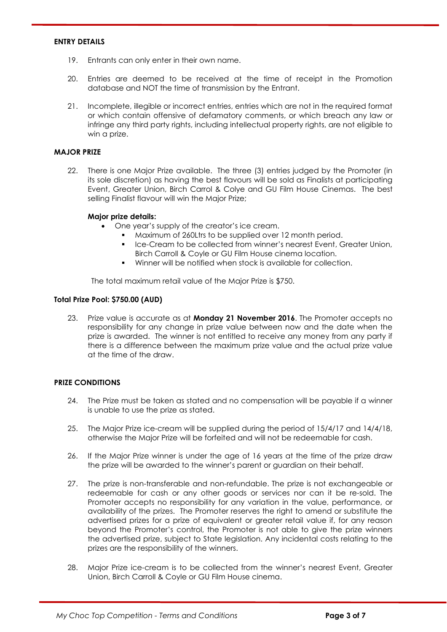#### **ENTRY DETAILS**

- 19. Entrants can only enter in their own name.
- 20. Entries are deemed to be received at the time of receipt in the Promotion database and NOT the time of transmission by the Entrant.
- 21. Incomplete, illegible or incorrect entries, entries which are not in the required format or which contain offensive of defamatory comments, or which breach any law or infringe any third party rights, including intellectual property rights, are not eligible to win a prize.

#### **MAJOR PRIZE**

22. There is one Major Prize available. The three (3) entries judged by the Promoter (in its sole discretion) as having the best flavours will be sold as Finalists at participating Event, Greater Union, Birch Carrol & Colye and GU Film House Cinemas. The best selling Finalist flavour will win the Major Prize;

#### **Major prize details:**

- One year's supply of the creator's ice cream.
	- Maximum of 260Ltrs to be supplied over 12 month period.
	- Ice-Cream to be collected from winner's nearest Event, Greater Union, Birch Carroll & Coyle or GU Film House cinema location.
	- Winner will be notified when stock is available for collection.

The total maximum retail value of the Major Prize is \$750.

#### **Total Prize Pool: \$750.00 (AUD)**

23. Prize value is accurate as at **Monday 21 November 2016**. The Promoter accepts no responsibility for any change in prize value between now and the date when the prize is awarded. The winner is not entitled to receive any money from any party if there is a difference between the maximum prize value and the actual prize value at the time of the draw.

## **PRIZE CONDITIONS**

- 24. The Prize must be taken as stated and no compensation will be payable if a winner is unable to use the prize as stated.
- 25. The Major Prize ice-cream will be supplied during the period of 15/4/17 and 14/4/18, otherwise the Major Prize will be forfeited and will not be redeemable for cash.
- 26. If the Major Prize winner is under the age of 16 years at the time of the prize draw the prize will be awarded to the winner's parent or guardian on their behalf.
- 27. The prize is non-transferable and non-refundable. The prize is not exchangeable or redeemable for cash or any other goods or services nor can it be re-sold. The Promoter accepts no responsibility for any variation in the value, performance, or availability of the prizes. The Promoter reserves the right to amend or substitute the advertised prizes for a prize of equivalent or greater retail value if, for any reason beyond the Promoter's control, the Promoter is not able to give the prize winners the advertised prize, subject to State legislation. Any incidental costs relating to the prizes are the responsibility of the winners.
- 28. Major Prize ice-cream is to be collected from the winner's nearest Event, Greater Union, Birch Carroll & Coyle or GU Film House cinema.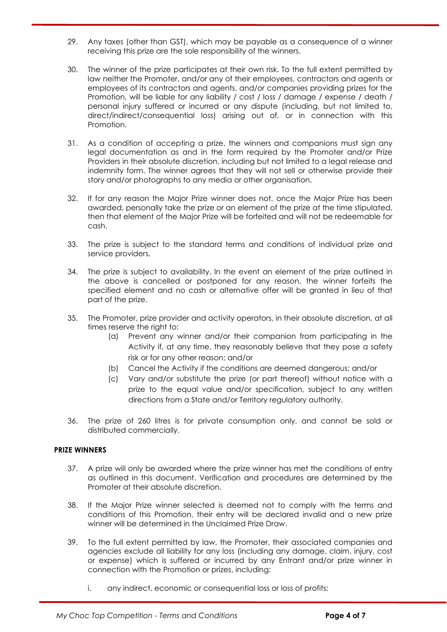- 29. Any taxes (other than GST), which may be payable as a consequence of a winner receiving this prize are the sole responsibility of the winners.
- 30. The winner of the prize participates at their own risk. To the full extent permitted by law neither the Promoter, and/or any of their employees, contractors and agents or employees of its contractors and agents, and/or companies providing prizes for the Promotion, will be liable for any liability / cost / loss / damage / expense / death / personal injury suffered or incurred or any dispute (including, but not limited to, direct/indirect/consequential loss) arising out of, or in connection with this Promotion.
- 31. As a condition of accepting a prize, the winners and companions must sign any legal documentation as and in the form required by the Promoter and/or Prize Providers in their absolute discretion, including but not limited to a legal release and indemnity form. The winner agrees that they will not sell or otherwise provide their story and/or photographs to any media or other organisation.
- 32. If for any reason the Major Prize winner does not, once the Major Prize has been awarded, personally take the prize or an element of the prize at the time stipulated, then that element of the Major Prize will be forfeited and will not be redeemable for cash.
- 33. The prize is subject to the standard terms and conditions of individual prize and service providers.
- 34. The prize is subject to availability. In the event an element of the prize outlined in the above is cancelled or postponed for any reason, the winner forfeits the specified element and no cash or alternative offer will be granted in lieu of that part of the prize.
- 35. The Promoter, prize provider and activity operators, in their absolute discretion, at all times reserve the right to:
	- (a) Prevent any winner and/or their companion from participating in the Activity if, at any time, they reasonably believe that they pose a safety risk or for any other reason; and/or
	- (b) Cancel the Activity if the conditions are deemed dangerous; and/or
	- (c) Vary and/or substitute the prize (or part thereof) without notice with a prize to the equal value and/or specification, subject to any written directions from a State and/or Territory regulatory authority.
- 36. The prize of 260 litres is for private consumption only, and cannot be sold or distributed commercially.

## **PRIZE WINNERS**

- 37. A prize will only be awarded where the prize winner has met the conditions of entry as outlined in this document. Verification and procedures are determined by the Promoter at their absolute discretion.
- 38. If the Major Prize winner selected is deemed not to comply with the terms and conditions of this Promotion, their entry will be declared invalid and a new prize winner will be determined in the Unclaimed Prize Draw
- 39. To the full extent permitted by law, the Promoter, their associated companies and agencies exclude all liability for any loss (including any damage, claim, injury, cost or expense) which is suffered or incurred by any Entrant and/or prize winner in connection with the Promotion or prizes, including:
	- i. any indirect, economic or consequential loss or loss of profits;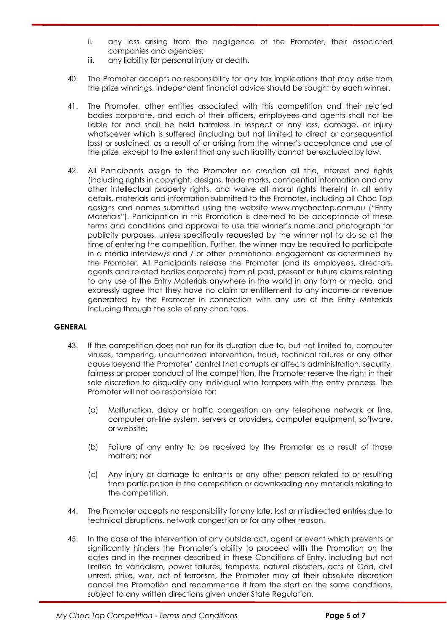- ii. any loss arising from the negligence of the Promoter, their associated companies and agencies;
- iii. any liability for personal injury or death.
- 40. The Promoter accepts no responsibility for any tax implications that may arise from the prize winnings. Independent financial advice should be sought by each winner.
- 41. The Promoter, other entities associated with this competition and their related bodies corporate, and each of their officers, employees and agents shall not be liable for and shall be held harmless in respect of any loss, damage, or injury whatsoever which is suffered (including but not limited to direct or consequential loss) or sustained, as a result of or arising from the winner's acceptance and use of the prize, except to the extent that any such liability cannot be excluded by law.
- 42. All Participants assign to the Promoter on creation all title, interest and rights (including rights in copyright, designs, trade marks, confidential information and any other intellectual property rights, and waive all moral rights therein) in all entry details, materials and information submitted to the Promoter, including all Choc Top designs and names submitted using the website www.mychoctop.com.au ("Entry Materials"). Participation in this Promotion is deemed to be acceptance of these terms and conditions and approval to use the winner's name and photograph for publicity purposes, unless specifically requested by the winner not to do so at the time of entering the competition. Further, the winner may be required to participate in a media interview/s and / or other promotional engagement as determined by the Promoter. All Participants release the Promoter (and its employees, directors, agents and related bodies corporate) from all past, present or future claims relating to any use of the Entry Materials anywhere in the world in any form or media, and expressly agree that they have no claim or entitlement to any income or revenue generated by the Promoter in connection with any use of the Entry Materials including through the sale of any choc tops.

## **GENERAL**

- 43. If the competition does not run for its duration due to, but not limited to, computer viruses, tampering, unauthorized intervention, fraud, technical failures or any other cause beyond the Promoter' control that corrupts or affects administration, security, fairness or proper conduct of the competition, the Promoter reserve the right in their sole discretion to disqualify any individual who tampers with the entry process. The Promoter will not be responsible for:
	- (a) Malfunction, delay or traffic congestion on any telephone network or line, computer on-line system, servers or providers, computer equipment, software, or website;
	- (b) Failure of any entry to be received by the Promoter as a result of those matters; nor
	- (c) Any injury or damage to entrants or any other person related to or resulting from participation in the competition or downloading any materials relating to the competition.
- 44. The Promoter accepts no responsibility for any late, lost or misdirected entries due to technical disruptions, network congestion or for any other reason.
- 45. In the case of the intervention of any outside act, agent or event which prevents or significantly hinders the Promoter's ability to proceed with the Promotion on the dates and in the manner described in these Conditions of Entry, including but not limited to vandalism, power failures, tempests, natural disasters, acts of God, civil unrest, strike, war, act of terrorism, the Promoter may at their absolute discretion cancel the Promotion and recommence it from the start on the same conditions, subject to any written directions given under State Regulation.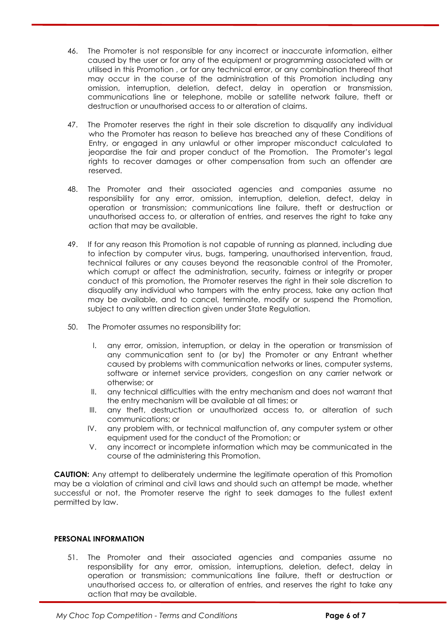- 46. The Promoter is not responsible for any incorrect or inaccurate information, either caused by the user or for any of the equipment or programming associated with or utilised in this Promotion , or for any technical error, or any combination thereof that may occur in the course of the administration of this Promotion including any omission, interruption, deletion, defect, delay in operation or transmission, communications line or telephone, mobile or satellite network failure, theft or destruction or unauthorised access to or alteration of claims.
- 47. The Promoter reserves the right in their sole discretion to disqualify any individual who the Promoter has reason to believe has breached any of these Conditions of Entry, or engaged in any unlawful or other improper misconduct calculated to jeopardise the fair and proper conduct of the Promotion. The Promoter's legal rights to recover damages or other compensation from such an offender are reserved.
- 48. The Promoter and their associated agencies and companies assume no responsibility for any error, omission, interruption, deletion, defect, delay in operation or transmission; communications line failure, theft or destruction or unauthorised access to, or alteration of entries, and reserves the right to take any action that may be available.
- 49. If for any reason this Promotion is not capable of running as planned, including due to infection by computer virus, bugs, tampering, unauthorised intervention, fraud, technical failures or any causes beyond the reasonable control of the Promoter, which corrupt or affect the administration, security, fairness or integrity or proper conduct of this promotion, the Promoter reserves the right in their sole discretion to disqualify any individual who tampers with the entry process, take any action that may be available, and to cancel, terminate, modify or suspend the Promotion, subject to any written direction given under State Regulation.
- 50. The Promoter assumes no responsibility for:
	- I. any error, omission, interruption, or delay in the operation or transmission of any communication sent to (or by) the Promoter or any Entrant whether caused by problems with communication networks or lines, computer systems, software or internet service providers, congestion on any carrier network or otherwise; or
	- II. any technical difficulties with the entry mechanism and does not warrant that the entry mechanism will be available at all times; or
	- III. any theft, destruction or unauthorized access to, or alteration of such communications; or
	- IV. any problem with, or technical malfunction of, any computer system or other equipment used for the conduct of the Promotion; or
	- V. any incorrect or incomplete information which may be communicated in the course of the administering this Promotion.

**CAUTION:** Any attempt to deliberately undermine the legitimate operation of this Promotion may be a violation of criminal and civil laws and should such an attempt be made, whether successful or not, the Promoter reserve the right to seek damages to the fullest extent permitted by law.

# **PERSONAL INFORMATION**

51. The Promoter and their associated agencies and companies assume no responsibility for any error, omission, interruptions, deletion, defect, delay in operation or transmission; communications line failure, theft or destruction or unauthorised access to, or alteration of entries, and reserves the right to take any action that may be available.